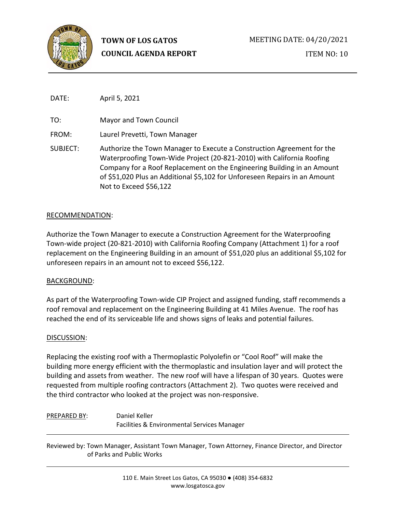

ITEM NO: 10

DATE: April 5, 2021

TO: Mayor and Town Council

FROM: Laurel Prevetti, Town Manager

SUBJECT: Authorize the Town Manager to Execute a Construction Agreement for the Waterproofing Town-Wide Project (20-821-2010) with California Roofing Company for a Roof Replacement on the Engineering Building in an Amount of \$51,020 Plus an Additional \$5,102 for Unforeseen Repairs in an Amount Not to Exceed \$56,122

### RECOMMENDATION:

Authorize the Town Manager to execute a Construction Agreement for the Waterproofing Town-wide project (20-821-2010) with California Roofing Company (Attachment 1) for a roof replacement on the Engineering Building in an amount of \$51,020 plus an additional \$5,102 for unforeseen repairs in an amount not to exceed \$56,122.

## BACKGROUND:

As part of the Waterproofing Town-wide CIP Project and assigned funding, staff recommends a roof removal and replacement on the Engineering Building at 41 Miles Avenue. The roof has reached the end of its serviceable life and shows signs of leaks and potential failures.

### DISCUSSION:

Replacing the existing roof with a Thermoplastic Polyolefin or "Cool Roof" will make the building more energy efficient with the thermoplastic and insulation layer and will protect the building and assets from weather. The new roof will have a lifespan of 30 years. Quotes were requested from multiple roofing contractors (Attachment 2). Two quotes were received and the third contractor who looked at the project was non-responsive.

# PREPARED BY: Daniel Keller Facilities & Environmental Services Manager

Reviewed by: Town Manager, Assistant Town Manager, Town Attorney, Finance Director, and Director of Parks and Public Works